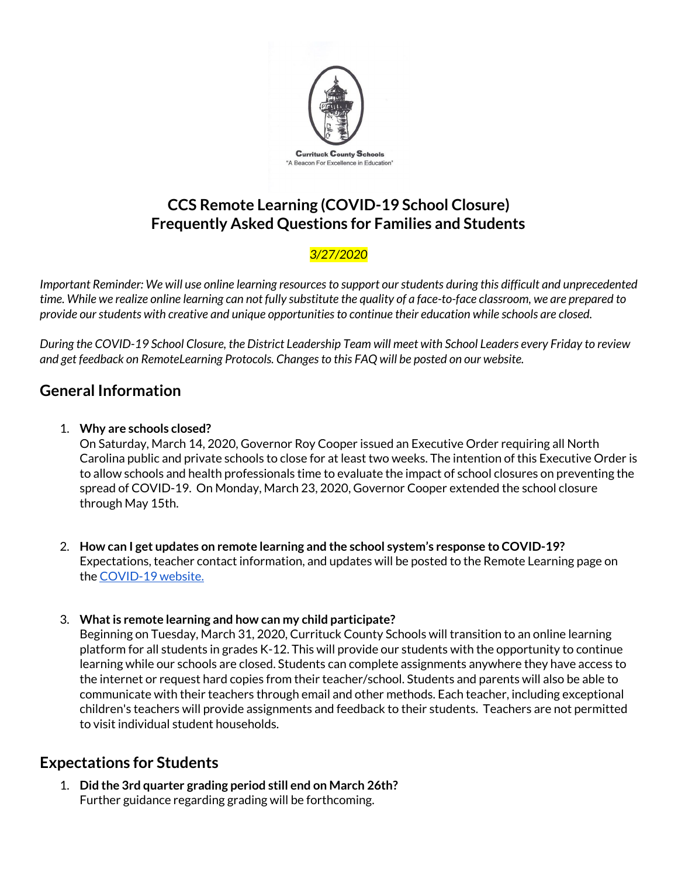

# **CCS Remote Learning (COVID-19 School Closure) Frequently Asked Questions for Families and Students**

### *3/27/2020*

*Important Reminder: We will use online learning resourcesto support ourstudents during this difficult and unprecedented* time. While we realize online learning can not fully substitute the quality of a face-to-face classroom, we are prepared to *provide ourstudents with creative and unique opportunitiesto continue their education while schools are closed.*

During the COVID-19 School Closure, the District Leadership Team will meet with School Leaders every Friday to review *and get feedback on RemoteLearning Protocols. Changesto this FAQ will be posted on our website.*

# **General Information**

### 1. **Why are schools closed?**

On Saturday, March 14, 2020, Governor Roy Cooper issued an Executive Order requiring all North Carolina public and private schools to close for at least two weeks. The intention of this Executive Order is to allow schools and health professionals time to evaluate the impact of school closures on preventing the spread of COVID-19. On Monday, March 23, 2020, Governor Cooper extended the school closure through May 15th.

- 2. **How can I get updates on remote learning and the school system's response to COVID-19?** Expectations, teacher contact information, and updates will be posted to the Remote Learning page on the [COVID-19](https://www.currituck.k12.nc.us/domain/1550) website.
- 3. **Whatis remote learning and how can my child participate?**

Beginning on Tuesday, March 31, 2020, Currituck County Schools will transition to an online learning platform for all students in grades K-12. This will provide our students with the opportunity to continue learning while our schools are closed. Students can complete assignments anywhere they have access to the internet or request hard copies from their teacher/school. Students and parents will also be able to communicate with their teachers through email and other methods. Each teacher, including exceptional children's teachers will provide assignments and feedback to their students. Teachers are not permitted to visit individual student households.

## **Expectations for Students**

1. **Did the 3rd quarter grading period still end on March 26th?** Further guidance regarding grading will be forthcoming.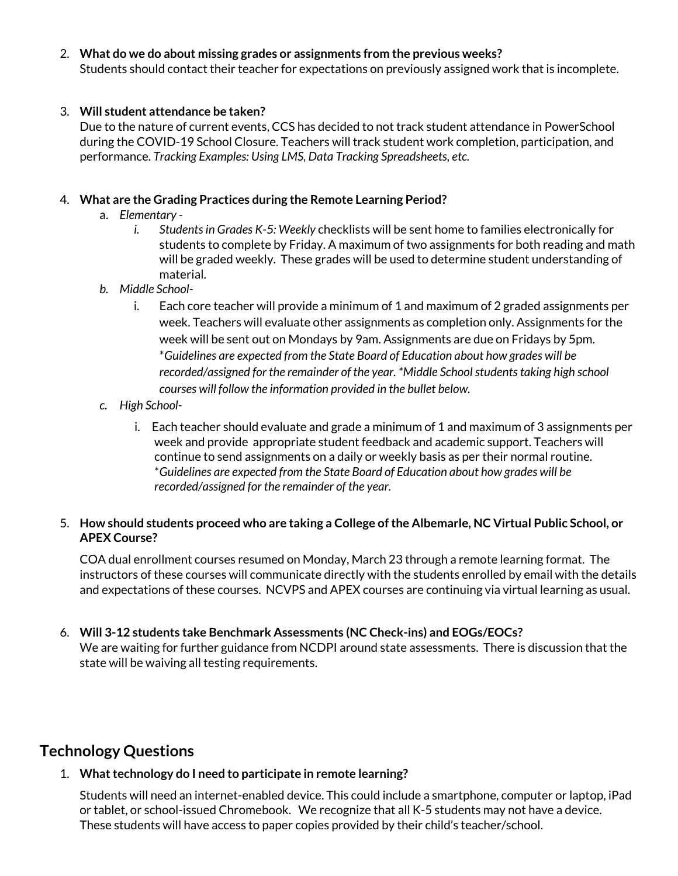#### 2. **What do we do about missing grades or assignments from the previous weeks?**

Students should contact their teacher for expectations on previously assigned work that is incomplete.

#### 3. **Will student attendance be taken?**

Due to the nature of current events, CCS has decided to not track student attendance in PowerSchool during the COVID-19 School Closure. Teachers will track student work completion, participation, and performance. *Tracking Examples: Using LMS, Data Tracking Spreadsheets, etc.*

#### 4. **What are the Grading Practices during the Remote Learning Period?**

- a. *Elementary*
	- *i. Studentsin Grades K-5: Weekly* checklists will be sent home to families electronically for students to complete by Friday. A maximum of two assignments for both reading and math will be graded weekly. These grades will be used to determine student understanding of material.
- *b. Middle School*
	- i. Each core teacher will provide a minimum of 1 and maximum of 2 graded assignments per week. Teachers will evaluate other assignments as completion only. Assignments for the week will be sent out on Mondays by 9am. Assignments are due on Fridays by 5pm. \**Guidelines are expected from the State Board of Education about how grades will be recorded/assigned for the remainder of the year. \*Middle Schoolstudentstaking high school courses will follow the information provided in the bullet below.*
- *c. High School*
	- i. Each teacher should evaluate and grade a minimum of 1 and maximum of 3 assignments per week and provide appropriate student feedback and academic support. Teachers will continue to send assignments on a daily or weekly basis as per their normal routine. \**Guidelines are expected from the State Board of Education about how grades will be recorded/assigned for the remainder of the year.*

#### 5. **How should students proceed who are taking a College ofthe Albemarle, NC Virtual Public School, or APEX Course?**

COA dual enrollment courses resumed on Monday, March 23 through a remote learning format. The instructors of these courses will communicate directly with the students enrolled by email with the details and expectations of these courses. NCVPS and APEX courses are continuing via virtual learning as usual.

6. **Will 3-12 students take Benchmark Assessments (NC Check-ins) and EOGs/EOCs?** We are waiting for further guidance from NCDPI around state assessments. There is discussion that the state will be waiving all testing requirements.

## **Technology Questions**

#### 1. What technology do I need to participate in remote learning?

Students will need an internet-enabled device. This could include a smartphone, computer or laptop, iPad or tablet, or school-issued Chromebook. We recognize that all K-5 students may not have a device. These students will have access to paper copies provided by their child's teacher/school.